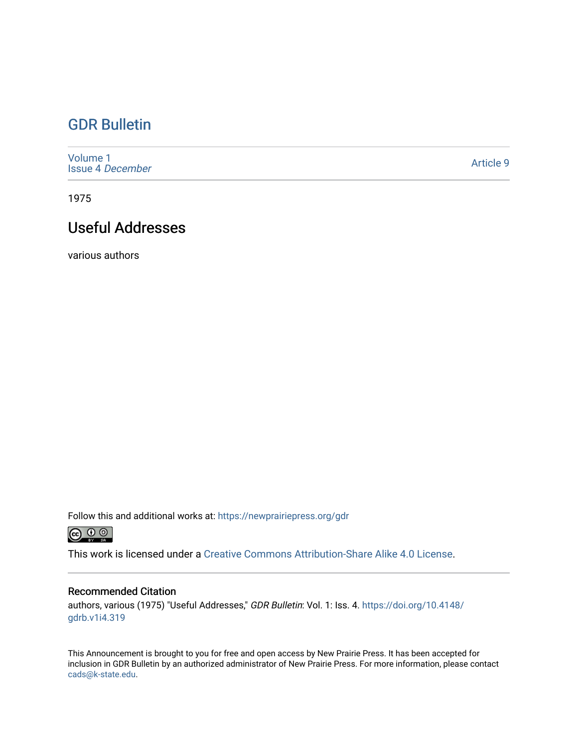# [GDR Bulletin](https://newprairiepress.org/gdr)

[Volume 1](https://newprairiepress.org/gdr/vol1) [Issue 4](https://newprairiepress.org/gdr/vol1/iss4) December

[Article 9](https://newprairiepress.org/gdr/vol1/iss4/9) 

1975

# Useful Addresses

various authors

Follow this and additional works at: [https://newprairiepress.org/gdr](https://newprairiepress.org/gdr?utm_source=newprairiepress.org%2Fgdr%2Fvol1%2Fiss4%2F9&utm_medium=PDF&utm_campaign=PDFCoverPages) 



This work is licensed under a [Creative Commons Attribution-Share Alike 4.0 License.](https://creativecommons.org/licenses/by-sa/4.0/)

# Recommended Citation

authors, various (1975) "Useful Addresses," GDR Bulletin: Vol. 1: Iss. 4. [https://doi.org/10.4148/](https://doi.org/10.4148/gdrb.v1i4.319) [gdrb.v1i4.319](https://doi.org/10.4148/gdrb.v1i4.319) 

This Announcement is brought to you for free and open access by New Prairie Press. It has been accepted for inclusion in GDR Bulletin by an authorized administrator of New Prairie Press. For more information, please contact [cads@k-state.edu.](mailto:cads@k-state.edu)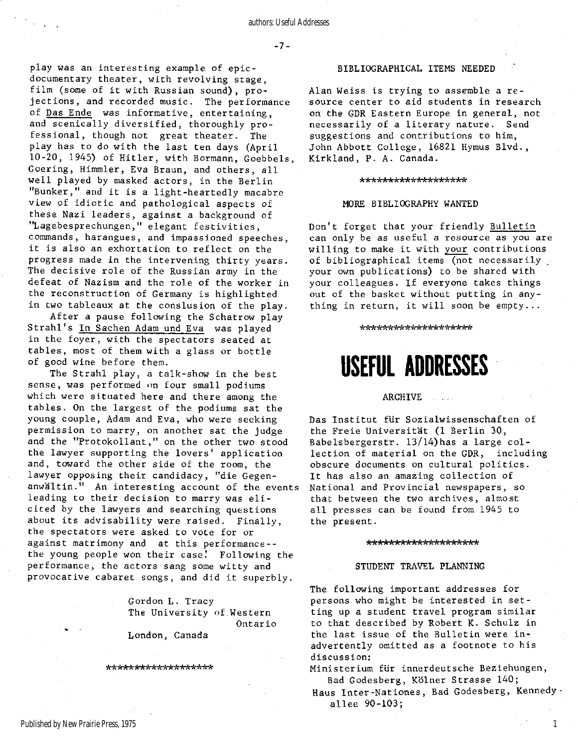play was an interesting example of epicdocumentary theater, with revolving stage, film (some of it with Russian sound), projections, and recorded music. The performance of Das Ende was informative, entertaining, and scenically diversified, thoroughly professional, though not great theater. The play has to do with the last ten days (April 10-20, 1945) of Hitler, with Bormann, Goebbels, Goering, Himmler, Eva Braun, and others, all well played by masked actors, in the Berlin "Bunker," and it is a light-heartedly macabre view of idiotic and pathological aspects of these Nazi leaders, against a background of "Lagebesprechungen," elegant festivities , commands, harangues, and impassioned speeches, it is also an exhortation to reflect on the progress made in the intervening thirty years. The decisive role of the Russian army in the defeat of Nazism and the role of the worker in the reconstruction of Germany is highlighted in two tableaux at the conslusion of the play.

After a pause following the Schatrow play Strahl's In Sachen Adam und Eva was played in the foyer, with the spectators seated at tables, most of them with a glass or bottle of good wine before them.

The Strahl play, a talk-show in the best sense, was performed on four small podiums which were situated here and there among the tables. On the largest of the podiums sat the young couple, Adam and Eva, who were seeking permission to marry, on another sat the judge and the "Protokollant, " on the other two stood the lawyer supporting the lovers' application and, toward the other side of the room, the lawyer opposing their candidacy, "die Gegenanwältin." An interesting account of the events leading to their decision to marry was elicited by the lawyers and searching questions about its advisability were raised. Finally, the spectators were asked to vote for or against matrimony and at this performance-the young people won their case! Following the performance, the actors sang some witty and provocative cabaret songs, and did it superbly.

> Gordon L. Tracy The University of Western Ontario

London, Canada

\*\*\*\*\*\*\*\*\*\*\*\*\*\*\*\*\*\*\*

# BIBLIOGRAPHICAL ITEMS NEEDED

Alan Weiss is trying to assemble a resource center to aid students in research on the GDR Eastern Europe in general, not necessarily of a literary nature. Send suggestions and contributions to him, John Abbott College , 16821 Hymus Blvd. , Kirkland, P. A. Canada.

# \*\*\*\*\*\*\*\*\*\*\*\*\*\*\*\*\*\*

# MORE BIBLIOGRAPHY WANTED

Don't forget that your friendly Bulletin can only be as useful a resource as you are willing to make it with your contributions of bibliographical items (not necessarily your own publications) to be shared with your colleagues. If everyone takes things out of the basket without putting in anything in return, it will soon be empty...

#### \*\*\*\*\*\*\*\*\*\*\*\*\*\*\*\*\*\*\*

# USEFUL ADDRESSES

# ARCHIVE ...

Das Institut für Sozialwissenschaften of the Freie Universität (1 Berlin 30, Babelsbergerstr.  $13/14$ ) has a large collection of material on the GDR, including obscure documents on cultural politics. It has also an amazing collection of National and Provincial newspapers, so that between the two archives, almost all presses can be found from 1945 to the present.

#### \*\*\*\*\*\*\*\*\*\*\*\*\*\*\*\*\*\*\*

# STUDENT TRAVEL PLANNING

The following important addresses for persons who might be interested in setting up a student travel program similar to that described by Robert K. Schulz in the last issue of the Bulletin were inadvertently omitted as a footnote to his discussion:

Ministerium für innerdeutsche Beziehungen, Bad Godesberg, Kölner Strasse 140;

Haus Inter-Nationes, Bad Godesberg, Kennedy . allee 90-103;

1